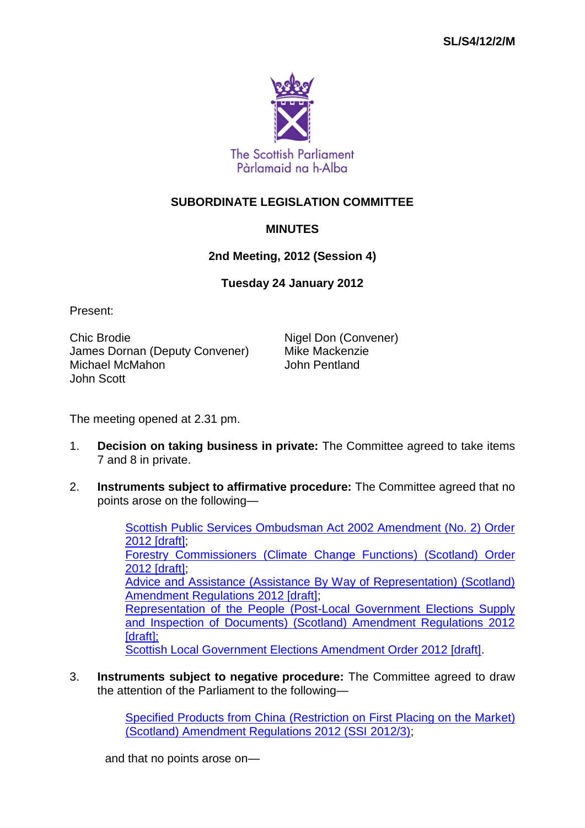

## **SUBORDINATE LEGISLATION COMMITTEE**

## **MINUTES**

## **2nd Meeting, 2012 (Session 4)**

## **Tuesday 24 January 2012**

Present:

Chic Brodie **Nigel Don (Convener)** James Dornan (Deputy Convener) Mike Mackenzie<br>Michael McMahon Michael Musham Michael McMahon John Scott

The meeting opened at 2.31 pm.

- 1. **Decision on taking business in private:** The Committee agreed to take items 7 and 8 in private.
- 2. **Instruments subject to affirmative procedure:** The Committee agreed that no points arose on the following—

[Scottish Public Services Ombudsman Act 2002 Amendment \(No. 2\) Order](http://www.legislation.gov.uk/sdsi/2012/9780111015742/contents)  [2012 \[draft\];](http://www.legislation.gov.uk/sdsi/2012/9780111015742/contents) [Forestry Commissioners \(Climate Change Functions\) \(Scotland\) Order](http://www.legislation.gov.uk/sdsi/2012/9780111015780/contents)  [2012 \[draft\];](http://www.legislation.gov.uk/sdsi/2012/9780111015780/contents) [Advice and Assistance \(Assistance By Way of Representation\) \(Scotland\)](http://www.legislation.gov.uk/sdsi/2012/9780111015766/contents)  [Amendment Regulations 2012 \[draft\];](http://www.legislation.gov.uk/sdsi/2012/9780111015766/contents) [Representation of the People \(Post-Local Government Elections Supply](http://www.legislation.gov.uk/sdsi/2012/9780111015872)  [and Inspection of Documents\) \(Scotland\) Amendment Regulations 2012](http://www.legislation.gov.uk/sdsi/2012/9780111015872)  [draft]: Scottish [Local Government Elections Amendment Order 2012 \[draft\].](http://www.legislation.gov.uk/sdsi/2012/9780111015889)

3. **Instruments subject to negative procedure:** The Committee agreed to draw the attention of the Parliament to the following—

> [Specified Products from China \(Restriction on First Placing on the Market\)](http://www.legislation.gov.uk/nisr/2012/3/contents/made)  [\(Scotland\) Amendment Regulations 2012 \(SSI](http://www.legislation.gov.uk/nisr/2012/3/contents/made) 2012/3);

and that no points arose on—